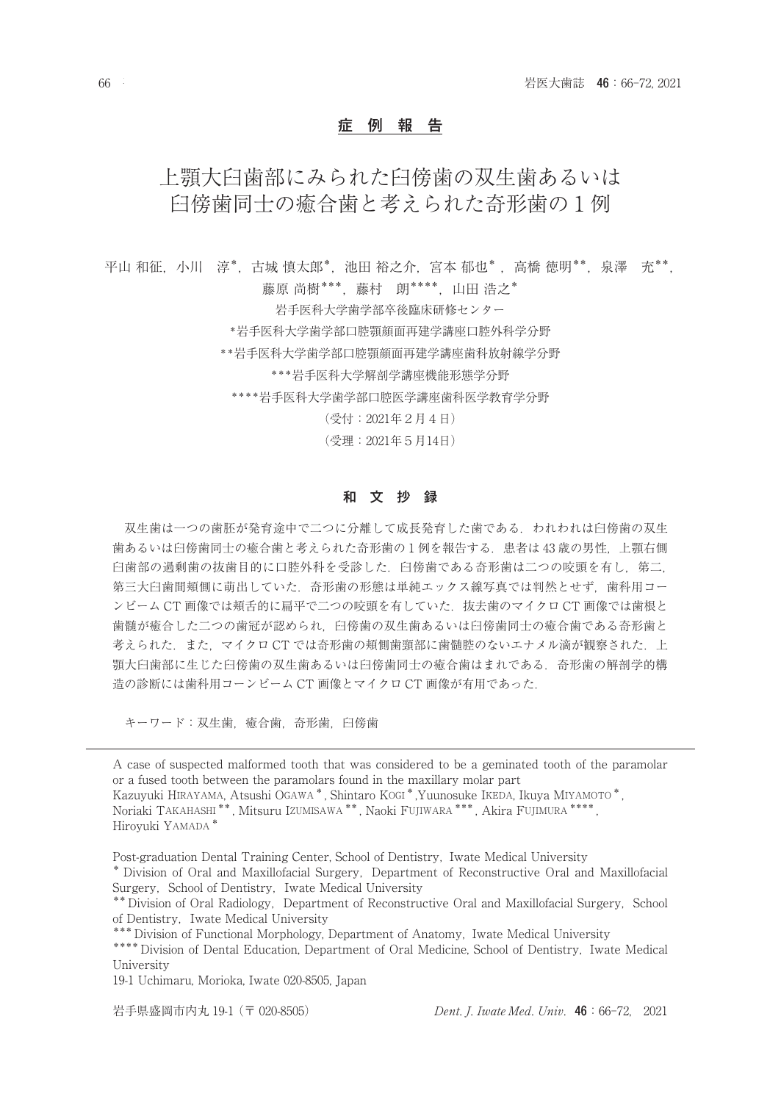## 症 例 報 告

# 上顎大臼歯部にみられた臼傍歯の双生歯あるいは 臼傍歯同士の癒合歯と考えられた奇形歯の1例

平山 和征,小川 淳\*,古城 慎太郎\*,池田 裕之介,宮本 郁也\*, 高橋 徳明\*\*,泉澤 充\*\*, 藤原 尚樹\*\*\*,藤村 朗\*\*\*\*,山田 浩之\* 岩手医科大学歯学部卒後臨床研修センター \*岩手医科大学歯学部口腔顎顔面再建学講座口腔外科学分野 \*\*岩手医科大学歯学部口腔顎顔面再建学講座歯科放射線学分野

\*\*\*岩手医科大学解剖学講座機能形態学分野

\*\*\*\*岩手医科大学歯学部口腔医学講座歯科医学教育学分野

(受付:2021年2月4日)

(受理:2021年5月14日)

## 和 文 抄 録

双生歯は一つの歯胚が発育途中で二つに分離して成長発育した歯である.われわれは臼傍歯の双生 歯あるいは臼傍歯同士の癒合歯と考えられた奇形歯の1例を報告する.患者は 43 歳の男性,上顎右側 臼歯部の過剰歯の抜歯目的に口腔外科を受診した. 臼傍歯である奇形歯は二つの咬頭を有し、第二, 第三大臼歯間頬側に萌出していた.奇形歯の形態は単純エックス線写真では判然とせず,歯科用コー ンビーム CT 画像では頬舌的に扁平で二つの咬頭を有していた.抜去歯のマイクロ CT 画像では歯根と 歯髄が癒合した二つの歯冠が認められ,臼傍歯の双生歯あるいは臼傍歯同士の癒合歯である奇形歯と 考えられた. また. マイクロ CT では奇形歯の頬側歯頸部に歯髄腔のないエナメル滴が観察された. 上 顎大臼歯部に生じた臼傍歯の双生歯あるいは臼傍歯同士の癒合歯はまれである.奇形歯の解剖学的構 造の診断には歯科用コーンビーム CT 画像とマイクロ CT 画像が有用であった.

キーワード: 双生歯, 癒合歯, 奇形歯, 臼傍歯

A case of suspected malformed tooth that was considered to be a geminated tooth of the paramolar or a fused tooth between the paramolars found in the maxillary molar part Kazuyuki HIRAYAMA, Atsushi OGAWA \* , Shintaro KOGI \* ,Yuunosuke IKEDA, Ikuya MIYAMOTO \* ,

Noriaki TAKAHASHI \*\* , Mitsuru IZUMISAWA \*\* , Naoki FUJIWARA \*\*\* , Akira FUJIMURA \*\*\*\* , Hiroyuki YAMADA \*

Post-graduation Dental Training Center, School of Dentistry, Iwate Medical University

\*\*\* Division of Functional Morphology, Department of Anatomy, Iwate Medical University \*\*\*\* Division of Dental Education, Department of Oral Medicine, School of Dentistry, Iwate Medical University

19-1 Uchimaru, Morioka, Iwate 020-8505, Japan

<sup>\*</sup> Division of Oral and Maxillofacial Surgery, Department of Reconstructive Oral and Maxillofacial Surgery, School of Dentistry, Iwate Medical University

<sup>\*\*</sup> Division of Oral Radiology, Department of Reconstructive Oral and Maxillofacial Surgery, School of Dentistry, Iwate Medical University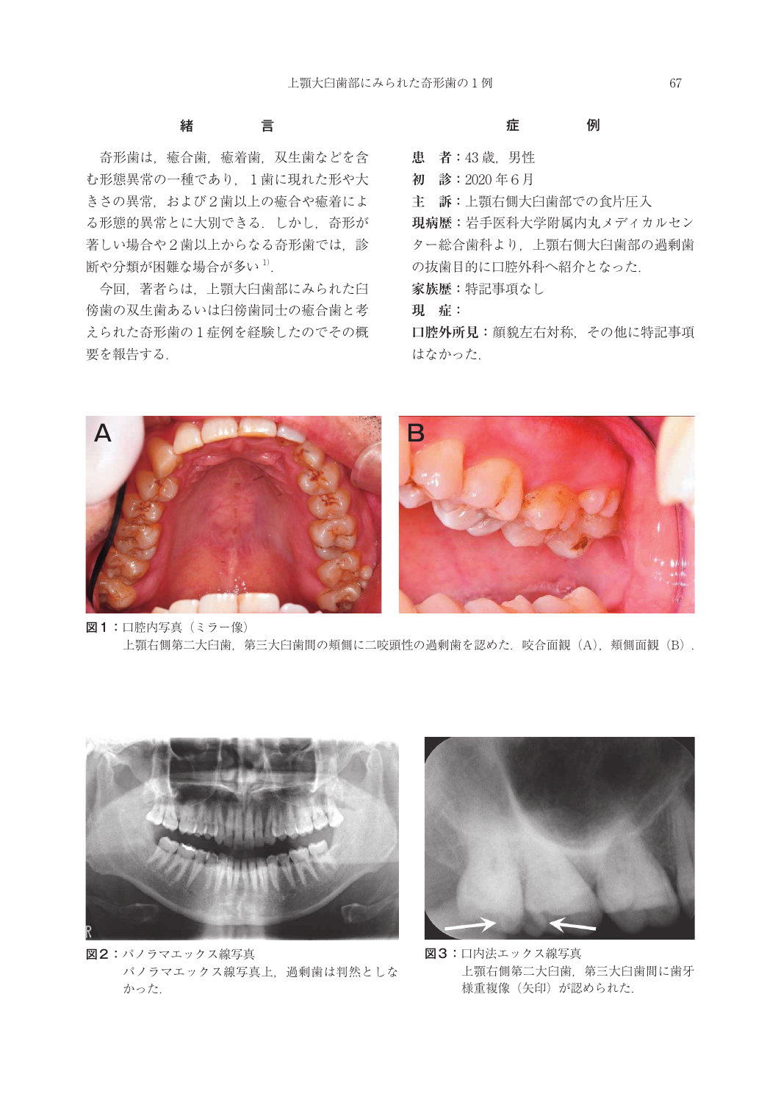# 緒 言

奇形歯は,癒合歯,癒着歯,双生歯などを含 む形態異常の一種であり、1歯に現れた形や大 きさの異常,および2歯以上の癒合や癒着によ る形態的異常とに大別できる.しかし,奇形が 著しい場合や2歯以上からなる奇形歯では、診 断や分類が困難な場合が多い 1).

今回,著者らは,上顎大臼歯部にみられた臼 傍歯の双生歯あるいは臼傍歯同士の癒合歯と考 えられた奇形歯の1症例を経験したのでその概 要を報告する.

## 症 例

**患 者:**43 歳,男性

**初 診:**2020 年6月

**主 訴:**上顎右側大臼歯部での食片圧入

**現病歴:**岩手医科大学附属内丸メディカルセン ター総合歯科より,上顎右側大臼歯部の過剰歯 の抜歯目的に口腔外科へ紹介となった. **家族歴:**特記事項なし

**現 症:**

**口腔外所見:**顔貌左右対称,その他に特記事項 はなかった.



図1:口腔内写真 (ミラー像) 上顎右側第二大臼歯, 第三大臼歯間の頬側に二咬頭性の過剰歯を認めた. 咬合面観 (A), 頬側面観 (B).



図2:パノラマエックス線写真 パノラマエックス線写真上,過剰歯は判然としな かった.



図3:口内法エックス線写真 上顎右側第二大臼歯,第三大臼歯間に歯牙 様重複像(矢印)が認められた.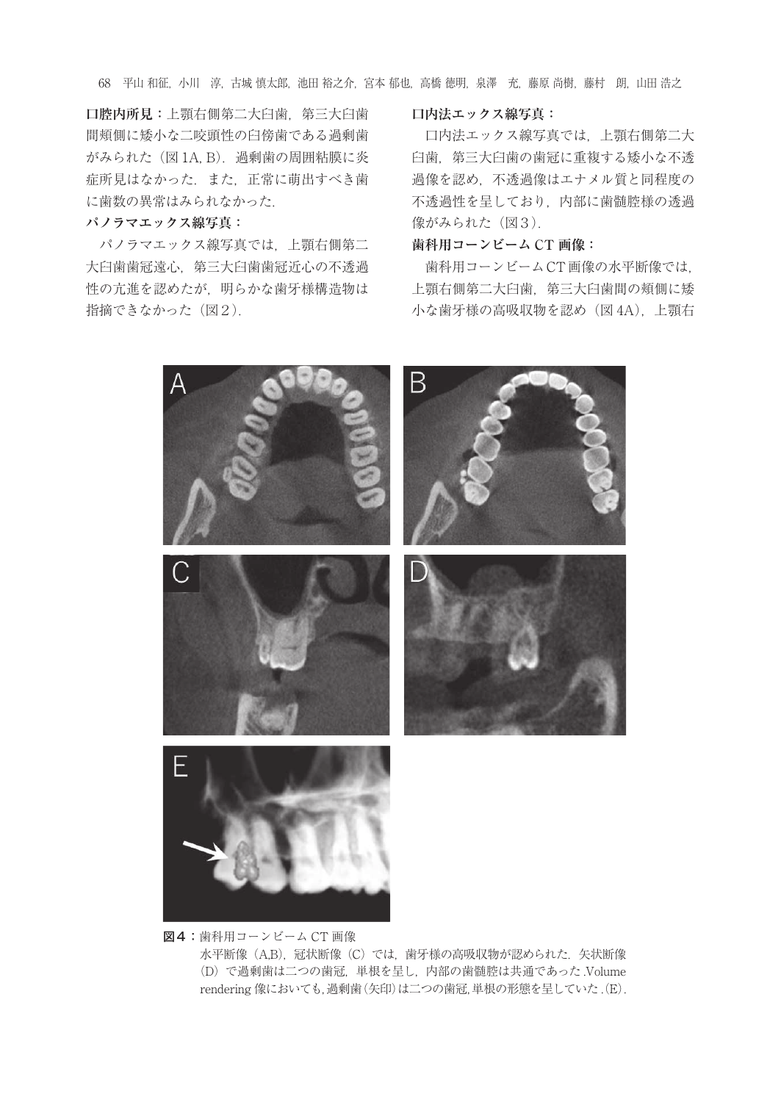68 平山 和征,小川 淳,古城 慎太郎,池田 裕之介,宮本 郁也,高橋 徳明,泉澤 充,藤原 尚樹,藤村 朗,山田 浩之

**口腔内所見:**上顎右側第二大臼歯,第三大臼歯 間頬側に矮小な二咬頭性の臼傍歯である過剰歯 がみられた (図 1A, B). 過剰歯の周囲粘膜に炎 症所見はなかった.また,正常に萌出すべき歯 に歯数の異常はみられなかった.

#### **パノラマエックス線写真:**

パノラマエックス線写真では,上顎右側第二 大臼歯歯冠遠心,第三大臼歯歯冠近心の不透過 性の亢進を認めたが,明らかな歯牙様構造物は 指摘できなかった(図2).

#### **口内法エックス線写真:**

口内法エックス線写真では,上顎右側第二大 臼歯,第三大臼歯の歯冠に重複する矮小な不透 過像を認め,不透過像はエナメル質と同程度の 不透過性を呈しており,内部に歯髄腔様の透過 像がみられた (図3).

#### **歯科用コーンビーム CT 画像:**

歯科用コーンビームCT画像の水平断像では, 上顎右側第二大臼歯,第三大臼歯間の頬側に矮 小な歯牙様の高吸収物を認め(図 4A),上顎右



図4:歯科用コーンビーム CT 画像 水平断像(A,B), 冠状断像(C)では、歯牙様の高吸収物が認められた. 矢状断像 (D)で過剰歯は二つの歯冠,単根を呈し,内部の歯髄腔は共通であった .Volume rendering 像においても,過剰歯(矢印)は二つの歯冠,単根の形態を呈していた .(E).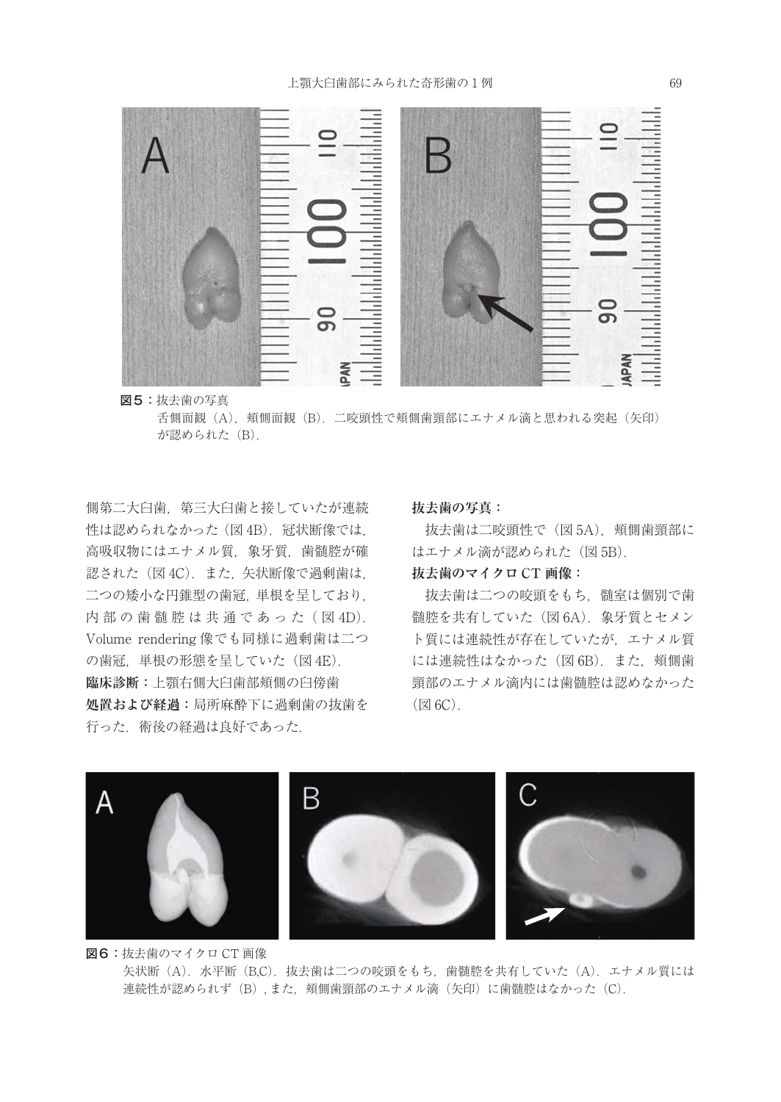

図5:抜去歯の写真

舌側面観(A), 頬側面観(B). 二咬頭性で頬側歯頸部にエナメル滴と思われる突起(矢印) が認められた (B).

側第二大臼歯,第三大臼歯と接していたが連続 性は認められなかった (図 4B). 冠状断像では, 高吸収物にはエナメル質, 象牙質, 歯髄腔が確 認された (図 4C). また、矢状断像で過剰歯は. 二つの矮小な円錐型の歯冠,単根を呈しており, 内部の歯髄腔は共通であった (図4D). Volume rendering 像でも同様に過剰歯は二つ の歯冠,単根の形態を呈していた(図 4E). **臨床診断:**上顎右側大臼歯部頬側の臼傍歯 **処置および経過:**局所麻酔下に過剰歯の抜歯を 行った. 術後の経過は良好であった.

#### **抜去歯の写真:**

抜去歯は二咬頭性で(図 5A),頬側歯頸部に はエナメル滴が認められた (図 5B).

# **抜去歯のマイクロ CT 画像:**

抜去歯は二つの咬頭をもち、髄室は個別で歯 髄腔を共有していた(図 6A).象牙質とセメン ト質には連続性が存在していたが,エナメル質 には連続性はなかった (図 6B). また. 頬側歯 頸部のエナメル滴内には歯髄腔は認めなかった  $(\boxtimes 6C)$ .



図6:抜去歯のマイクロ CT 画像 矢状断(A). 水平断(B,C). 抜去歯は二つの咬頭をもち、歯髄腔を共有していた(A). エナメル質には 連続性が認められず(B),また、頬側歯頸部のエナメル滴(矢印)に歯髄腔はなかった(C).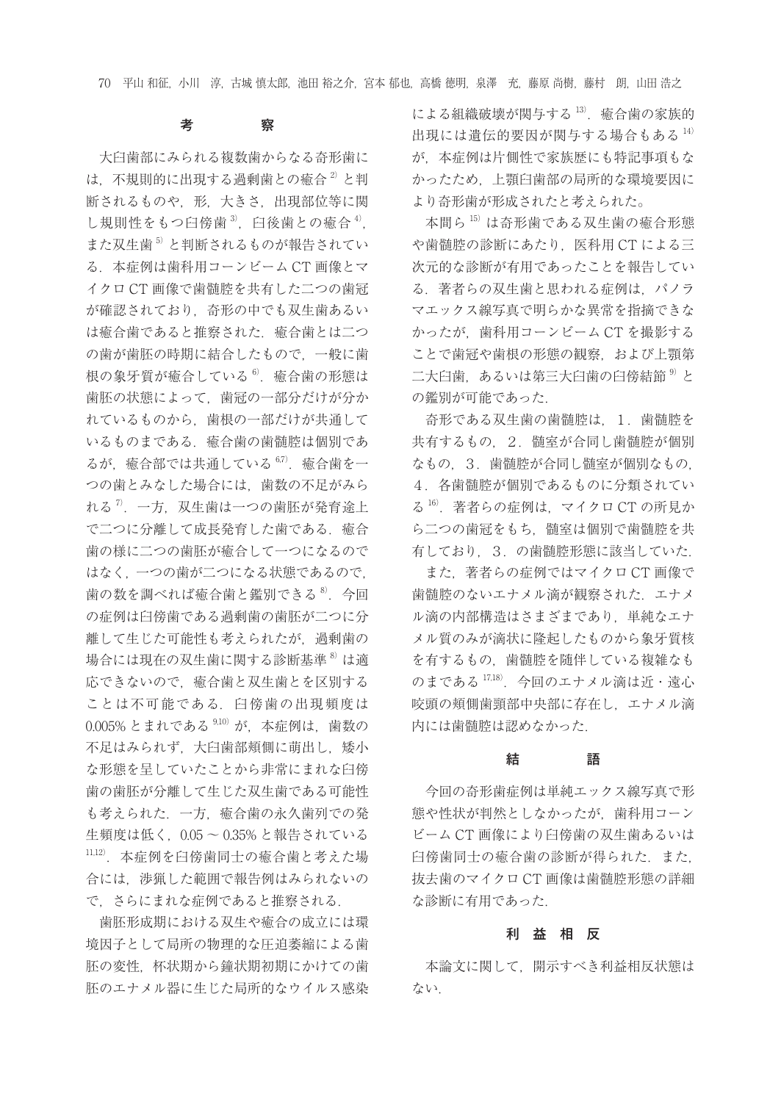70 平山 和征,小川 淳,古城 慎太郎,池田 裕之介,宮本 郁也,高橋 徳明,泉澤 充,藤原 尚樹,藤村 朗,山田 浩之

## 考 察

大臼歯部にみられる複数歯からなる奇形歯に は、不規則的に出現する過剰歯との癒合<sup>2)</sup>と判 断されるものや,形,大きさ,出現部位等に関 し規則性をもつ臼傍歯 $3$ , 臼後歯との癒合 $4$ , また双生歯<sup>5)</sup>と判断されるものが報告されてい る.本症例は歯科用コーンビーム CT 画像とマ イクロ CT 画像で歯髄腔を共有した二つの歯冠 が確認されており,奇形の中でも双生歯あるい は癒合歯であると推察された. 癒合歯とは二つ の歯が歯胚の時期に結合したもので,一般に歯 根の象牙質が癒合している<sup>6</sup>. 癒合歯の形態は 歯胚の状態によって,歯冠の一部分だけが分か れているものから,歯根の一部だけが共通して いるものまである. 癒合歯の歯髄腔は個別であ るが. 癒合部では共通している $67$ . 癒合歯を一 つの歯とみなした場合には,歯数の不足がみら れる<sup>7</sup>. 一方, 双生歯は一つの歯胚が発育途上 で二つに分離して成長発育した歯である.癒合 歯の様に二つの歯胚が癒合して一つになるので はなく,一つの歯が二つになる状態であるので, 歯の数を調べれば癒合歯と鑑別できる<sup>8</sup>. 今回 の症例は臼傍歯である過剰歯の歯胚が二つに分 離して生じた可能性も考えられたが,過剰歯の 場合には現在の双生歯に関する診断基準<sup>8)</sup>は適 応できないので、癒合歯と双生歯とを区別する ことは不可能である. 臼傍歯の出現頻度は 0.005% とまれである 9,10) が、本症例は、歯数の 不足はみられず、大臼歯部頬側に萌出し、矮小 な形態を呈していたことから非常にまれな臼傍 歯の歯胚が分離して生じた双生歯である可能性 も考えられた.一方,癒合歯の永久歯列での発 生頻度は低く,0.05 〜 0.35% と報告されている 11,12).本症例を臼傍歯同士の癒合歯と考えた場 合には,渉猟した範囲で報告例はみられないの で,さらにまれな症例であると推察される.

歯胚形成期における双生や癒合の成立には環 境因子として局所の物理的な圧迫萎縮による歯 胚の変性,杯状期から鐘状期初期にかけての歯 胚のエナメル器に生じた局所的なウイルス感染

による組織破壊が関与する 13). 癒合歯の家族的 出現には遺伝的要因が関与する場合もある 14) が,本症例は片側性で家族歴にも特記事項もな かったため,上顎臼歯部の局所的な環境要因に より奇形歯が形成されたと考えられた。

本間ら 15) は奇形歯である双生歯の癒合形態 や歯髄腔の診断にあたり,医科用 CT による三 次元的な診断が有用であったことを報告してい る.著者らの双生歯と思われる症例は,パノラ マエックス線写真で明らかな異常を指摘できな かったが,歯科用コーンビーム CT を撮影する ことで歯冠や歯根の形態の観察,および上顎第 二大臼歯、あるいは第三大臼歯の臼傍結節<sup>9)</sup>と の鑑別が可能であった.

奇形である双生歯の歯髄腔は,1.歯髄腔を 共有するもの、2. 髄室が合同し歯髄腔が個別 なもの 3. 歯髄腔が合同し髄室が個別なもの 4.各歯髄腔が個別であるものに分類されてい る 16).著者らの症例は,マイクロ CT の所見か ら二つの歯冠をもち、髄室は個別で歯髄腔を共 有しており,3.の歯髄腔形態に該当していた.

また. 著者らの症例ではマイクロ CT 画像で 歯髄腔のないエナメル滴が観察された.エナメ ル滴の内部構造はさまざまであり,単純なエナ メル質のみが滴状に隆起したものから象牙質核 を有するもの,歯髄腔を随伴している複雑なも のまである<sup>17,18)</sup>. 今回のエナメル滴は近・遠心 咬頭の頬側歯頸部中央部に存在し,エナメル滴 内には歯髄腔は認めなかった.

#### おおし おおし 結び かいうかい 語り

今回の奇形歯症例は単純エックス線写真で形 態や性状が判然としなかったが,歯科用コーン ビーム CT 画像により臼傍歯の双生歯あるいは 臼傍歯同士の癒合歯の診断が得られた. また. 抜去歯のマイクロ CT 画像は歯髄腔形態の詳細 な診断に有用であった.

#### 利 益 相 反

本論文に関して,開示すべき利益相反状態は ない.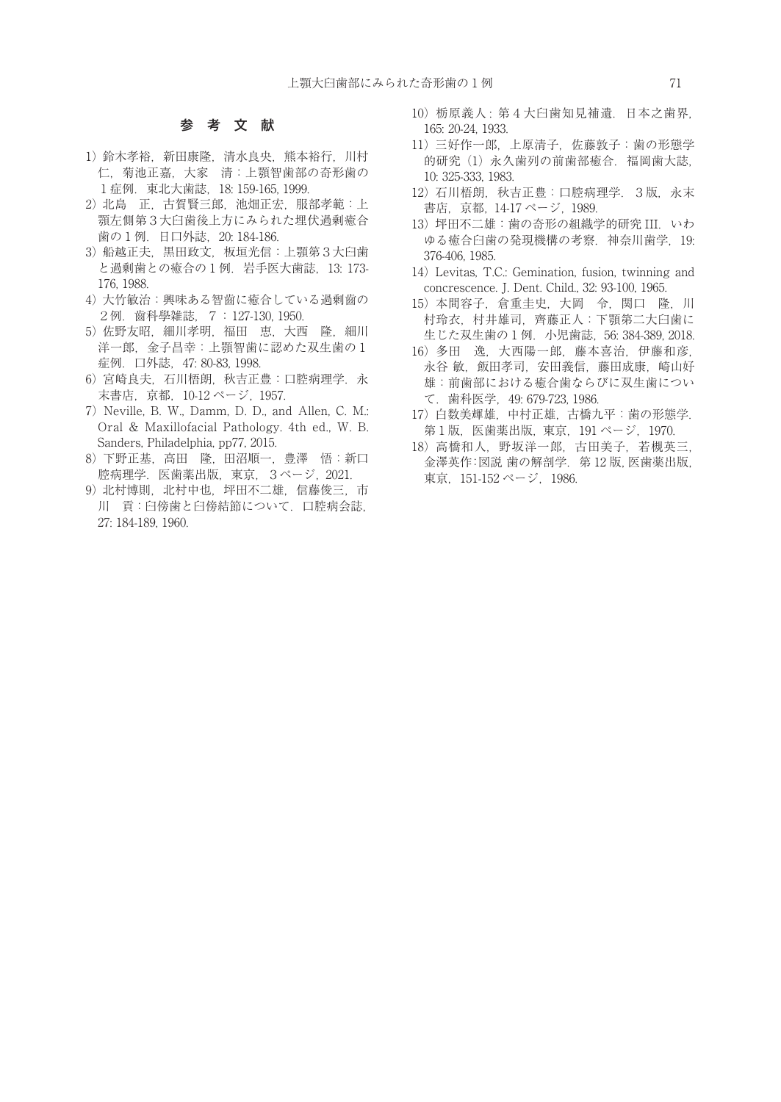#### 参 考 文 献

- 1) 鈴木孝裕, 新田康隆, 清水良央, 熊本裕行, 川村 仁,菊池正嘉,大家 清:上顎智歯部の奇形歯の 1症例.東北大歯誌,18: 159-165, 1999.
- 2) 北島 正,古賀賢三郎,池畑正宏,服部孝範:上 顎左側第3大臼歯後上方にみられた埋伏過剰癒合 歯の1例.日口外誌,20: 184-186.
- 3) 船越正夫, 黒田政文, 板垣光信: 上顎第3大臼歯 と過剰歯との癒合の1例.岩手医大歯誌,13: 173- 176, 1988.
- 4) 大竹敏治:興味ある智齒に癒合している過剰齒の 2例.齒科學雑誌,7: 127-130, 1950.
- 5) 佐野友昭, 細川孝明, 福田 恵, 大西 隆, 細川 洋一郎,金子昌幸:上顎智歯に認めた双生歯の1 症例. 口外誌, 47: 80-83, 1998.
- 6) 宮崎良夫,石川梧朗, 秋吉正豊:口腔病理学.永 末書店,京都,10-12 ページ, 1957.
- 7) Neville, B. W., Damm, D. D., and Allen, C. M.: Oral & Maxillofacial Pathology. 4th ed., W. B. Sanders, Philadelphia, pp77, 2015.
- 8) 下野正基,高田 隆, 田沼順一,豊澤 悟:新口 腔病理学.医歯薬出版,東京,3ページ, 2021.
- 9) 北村博則,北村中也,坪田不二雄,信藤俊三,市 川 貢:臼傍歯と臼傍結節について.口腔病会誌, 27: 184-189, 1960.
- 10) 栃原義人 : 第4大臼歯知見補遺.日本之歯界, 165: 20-24, 1933.
- 11) 三好作一郎,上原清子,佐藤敦子:歯の形態学 的研究 (1) 永久歯列の前歯部癒合.福岡歯大誌, 10: 325-333, 1983.
- 12) 石川梧朗,秋吉正豊:口腔病理学.3版,永末 書店,京都, 14-17 ページ, 1989.
- 13) 坪田不二雄:歯の奇形の組織学的研究 III.いわ ゆる癒合臼歯の発現機構の考察.神奈川歯学,19: 376-406, 1985.
- 14) Levitas, T.C.: Gemination, fusion, twinning and concrescence. J. Dent. Child., 32: 93-100, 1965.
- 15) 本間容子,倉重圭史,大岡 令,関口 隆,川 村玲衣,村井雄司,齊藤正人:下顎第二大臼歯に 生じた双生歯の1例.小児歯誌,56: 384-389, 2018.
- 16) 多田 逸,大西陽一郎,藤本喜治,伊藤和彦, 永谷 敏, 飯田孝司, 安田義信, 藤田成康, 崎山好 雄:前歯部における癒合歯ならびに双生歯につい て.歯科医学,49: 679-723, 1986.
- 17) 白数美輝雄, 中村正雄, 古橋九平:歯の形態学. 第1版,医歯薬出版, 東京,191 ページ,1970.
- 18) 高橋和人,野坂洋一郎,古田美子,若槻英三, 金澤英作:図説 歯の解剖学.第 12 版,医歯薬出版, 東京, 151-152 ページ, 1986.